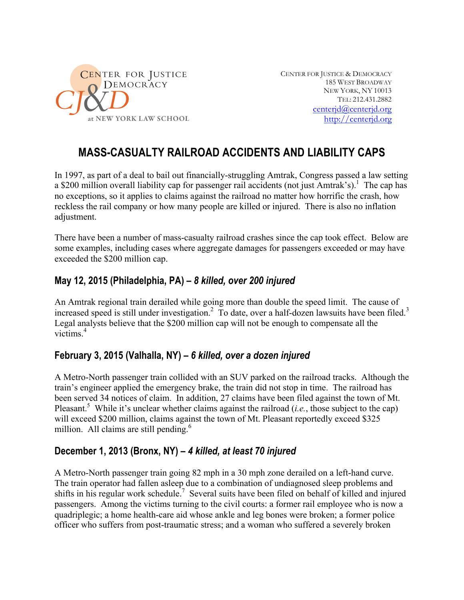

CENTER FOR JUSTICE & DEMOCRACY 185 WEST BROADWAY NEW YORK, NY 10013 TEL: 212.431.2882 centerjd@centerjd.org http://centerjd.org

# **MASS-CASUALTY RAILROAD ACCIDENTS AND LIABILITY CAPS**

In 1997, as part of a deal to bail out financially-struggling Amtrak, Congress passed a law setting a \$200 million overall liability cap for passenger rail accidents (not just Amtrak's).<sup>1</sup> The cap has no exceptions, so it applies to claims against the railroad no matter how horrific the crash, how reckless the rail company or how many people are killed or injured. There is also no inflation adjustment.

There have been a number of mass-casualty railroad crashes since the cap took effect. Below are some examples, including cases where aggregate damages for passengers exceeded or may have exceeded the \$200 million cap.

## **May 12, 2015 (Philadelphia, PA) –** *8 killed, over 200 injured*

An Amtrak regional train derailed while going more than double the speed limit. The cause of increased speed is still under investigation.<sup>2</sup> To date, over a half-dozen lawsuits have been filed.<sup>3</sup> Legal analysts believe that the \$200 million cap will not be enough to compensate all the victims<sup>4</sup>

#### **February 3, 2015 (Valhalla, NY) –** *6 killed, over a dozen injured*

A Metro-North passenger train collided with an SUV parked on the railroad tracks. Although the train's engineer applied the emergency brake, the train did not stop in time. The railroad has been served 34 notices of claim. In addition, 27 claims have been filed against the town of Mt. Pleasant.<sup>5</sup> While it's unclear whether claims against the railroad (*i.e.*, those subject to the cap) will exceed \$200 million, claims against the town of Mt. Pleasant reportedly exceed \$325 million. All claims are still pending. $6$ 

#### **December 1, 2013 (Bronx, NY) –** *4 killed, at least 70 injured*

A Metro-North passenger train going 82 mph in a 30 mph zone derailed on a left-hand curve. The train operator had fallen asleep due to a combination of undiagnosed sleep problems and shifts in his regular work schedule.<sup>7</sup> Several suits have been filed on behalf of killed and injured passengers. Among the victims turning to the civil courts: a former rail employee who is now a quadriplegic; a home health-care aid whose ankle and leg bones were broken; a former police officer who suffers from post-traumatic stress; and a woman who suffered a severely broken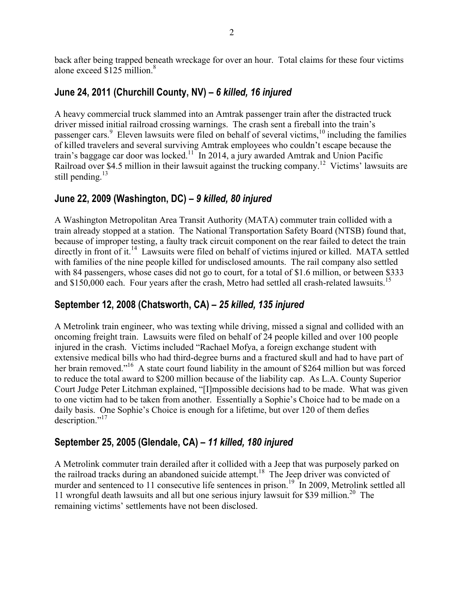back after being trapped beneath wreckage for over an hour. Total claims for these four victims alone exceed \$125 million. 8

## **June 24, 2011 (Churchill County, NV) –** *6 killed, 16 injured*

A heavy commercial truck slammed into an Amtrak passenger train after the distracted truck driver missed initial railroad crossing warnings. The crash sent a fireball into the train's passenger cars.<sup>9</sup> Eleven lawsuits were filed on behalf of several victims,<sup>10</sup> including the families of killed travelers and several surviving Amtrak employees who couldn't escape because the train's baggage car door was locked.<sup>11</sup> In 2014, a jury awarded Amtrak and Union Pacific Railroad over \$4.5 million in their lawsuit against the trucking company.<sup>12</sup> Victims' lawsuits are still pending. $^{13}$ 

#### **June 22, 2009 (Washington, DC) –** *9 killed, 80 injured*

A Washington Metropolitan Area Transit Authority (MATA) commuter train collided with a train already stopped at a station. The National Transportation Safety Board (NTSB) found that, because of improper testing, a faulty track circuit component on the rear failed to detect the train directly in front of it.<sup>14</sup> Lawsuits were filed on behalf of victims injured or killed. MATA settled with families of the nine people killed for undisclosed amounts. The rail company also settled with 84 passengers, whose cases did not go to court, for a total of \$1.6 million, or between \$333 and \$150,000 each. Four years after the crash, Metro had settled all crash-related lawsuits.<sup>15</sup>

# **September 12, 2008 (Chatsworth, CA) –** *25 killed, 135 injured*

A Metrolink train engineer, who was texting while driving, missed a signal and collided with an oncoming freight train. Lawsuits were filed on behalf of 24 people killed and over 100 people injured in the crash. Victims included "Rachael Mofya, a foreign exchange student with extensive medical bills who had third-degree burns and a fractured skull and had to have part of her brain removed."<sup>16</sup> A state court found liability in the amount of \$264 million but was forced to reduce the total award to \$200 million because of the liability cap. As L.A. County Superior Court Judge Peter Litchman explained, "[I]mpossible decisions had to be made. What was given to one victim had to be taken from another. Essentially a Sophie's Choice had to be made on a daily basis. One Sophie's Choice is enough for a lifetime, but over 120 of them defies description."<sup>17</sup>

# **September 25, 2005 (Glendale, CA) –** *11 killed, 180 injured*

A Metrolink commuter train derailed after it collided with a Jeep that was purposely parked on the railroad tracks during an abandoned suicide attempt.<sup>18</sup> The Jeep driver was convicted of murder and sentenced to 11 consecutive life sentences in prison.<sup>19</sup> In 2009, Metrolink settled all 11 wrongful death lawsuits and all but one serious injury lawsuit for \$39 million.<sup>20</sup> The remaining victims' settlements have not been disclosed.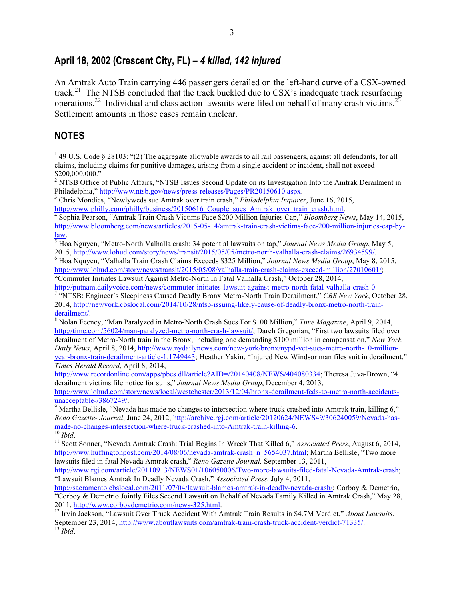#### **April 18, 2002 (Crescent City, FL) –** *4 killed, 142 injured*

An Amtrak Auto Train carrying 446 passengers derailed on the left-hand curve of a CSX-owned track.<sup>21</sup> The NTSB concluded that the track buckled due to CSX's inadequate track resurfacing operations.<sup>22</sup> Individual and class action lawsuits were filed on behalf of many crash victims.<sup>23</sup> Settlement amounts in those cases remain unclear.

#### **NOTES**

<sup>&</sup>lt;sup>1</sup> 49 U.S. Code § 28103: "(2) The aggregate allowable awards to all rail passengers, against all defendants, for all claims, including claims for punitive damages, arising from a single accident or incident, shall not exceed \$200,000,000."

<sup>&</sup>lt;sup>2</sup> NTSB Office of Public Affairs, "NTSB Issues Second Update on its Investigation Into the Amtrak Derailment in

Philadelphia," http://www.ntsb.gov/news/press-releases/Pages/PR20150610.aspx.<br>
<sup>3</sup> Chris Mondics, "Newlyweds sue Amtrak over train crash," *Philadelphia Inquirer*, June 16, 2015, http://www.philly.com/philly/business/20150

Sophia Pearson, "Amtrak Train Crash Victims Face \$200 Million Injuries Cap," *Bloomberg News*, May 14, 2015, http://www.bloomberg.com/news/articles/2015-05-14/amtrak-train-crash-victims-face-200-million-injuries-cap-by-

law.<br><sup>5</sup> Hoa Nguyen, "Metro-North Valhalla crash: 34 potential lawsuits on tap," *Journal News Media Group*, May 5,<br>2015. http://www.lohud.com/story/news/transit/2015/05/05/metro-north-valhalla-crash-claims/26934599/.

<sup>&</sup>lt;sup>6</sup> Hoa Nquyen, "Valhalla Train Crash Claims Exceeds \$325 Million," *Journal News Media Group*, May 8, 2015, http://www.lohud.com/story/news/transit/2015/05/08/valhalla-train-crash-claims-exceed-million/27010601/; "Commuter Initiates Lawsuit Against Metro-North In Fatal Valhalla Crash," October 28, 2014,

http://putnam.dailyvoice.com/news/commuter-initiates-lawsuit-against-metro-north-fatal-valhalla-crash-0<br><sup>7</sup> "NTSB: Engineer's Sleepiness Caused Deadly Bronx Metro-North Train Derailment," *CBS New York*, October 28, 2014, http://newyork.cbslocal.com/2014/10/28/ntsb-issuing-likely-cause-of-deadly-bronx-metro-north-train-<br>derailment/.

<sup>&</sup>lt;sup>8</sup> Nolan Feeney, "Man Paralyzed in Metro-North Crash Sues For \$100 Million," *Time Magazine*, April 9, 2014, http://time.com/56024/man-paralyzed-metro-north-crash-lawsuit/; Dareh Gregorian, "First two lawsuits filed over derailment of Metro-North train in the Bronx, including one demanding \$100 million in compensation," *New York Daily News*, April 8, 2014, http://www.nydailynews.com/new-york/bronx/nypd-vet-sues-metro-north-10-millionyear-bronx-train-derailment-article-1.1749443; Heather Yakin, "Injured New Windsor man files suit in derailment," *Times Herald Record*, April 8, 2014,

http://www.recordonline.com/apps/pbcs.dll/article?AID=/20140408/NEWS/404080334; Theresa Juva-Brown, "4 derailment victims file notice for suits," *Journal News Media Group*, December 4, 2013,

http://www.lohud.com/story/news/local/westchester/2013/12/04/bronx-derailment-feds-to-metro-north-accidents-

 $\frac{9}{9}$  Martha Bellisle, "Nevada has made no changes to intersection where truck crashed into Amtrak train, killing 6," *Reno Gazette-Journal*, June 24, 2012, http://archive.rgj.com/article/20120624/NEWS49/306240059/Nevada-has-<br>made-no-changes-intersection-where-truck-crashed-into-Amtrak-train-killing-6.

made-no-changes-intersection-where-truck-crashed-intersection-with-crashed-intersection-<br><sup>10</sup> *Ibid.* 11 Scott Sonner, "Nevada Amtrak-Crash: Trial Begins In Wreck That Killed 6," *Associated Press*, August 6, 2014, http://www.huffingtonpost.com/2014/08/06/nevada-amtrak-crash\_n\_5654037.html; Martha Bellisle, "Two more lawsuits filed in fatal Nevada Amtrak crash," *Reno Gazette-Journal,* September 13, 2011,

http://www.rgj.com/article/20110913/NEWS01/106050006/Two-more-lawsuits-filed-fatal-Nevada-Amtrak-crash; "Lawsuit Blames Amtrak In Deadly Nevada Crash," *Associated Press,* July 4, 2011,

http://sacramento.cbslocal.com/2011/07/04/lawsuit-blames-amtrak-in-deadly-nevada-crash/; Corboy & Demetrio, "Corboy & Demetrio Jointly Files Second Lawsuit on Behalf of Nevada Family Killed in Amtrak Crash," May 28, 2011, http://www.corboydemetrio.com/news-325.html. <sup>12</sup> Irvin Jackson, "Lawsuit Over Truck Accident With Amtrak Train Results in \$4.7M Verdict," *About Lawsuits*,

September 23, 2014, http://www.aboutlawsuits.com/amtrak-train-crash-truck-accident-verdict-71335/.<br><sup>13</sup> *Ibid.*